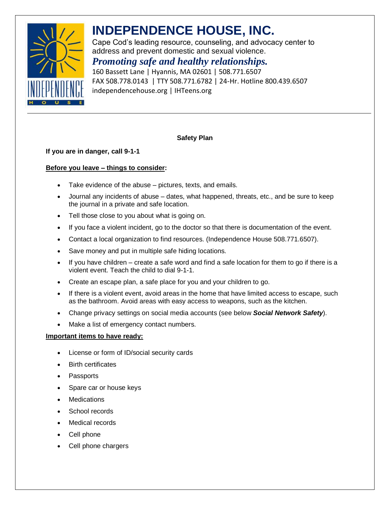

# **INDEPENDENCE HOUSE, INC.**

Cape Cod's leading resource, counseling, and advocacy center to address and prevent domestic and sexual violence.

# *Promoting safe and healthy relationships.*

160 Bassett Lane | Hyannis, MA 02601 | 508.771.6507 FAX 508.778.0143 | TTY 508.771.6782 | 24-Hr. Hotline 800.439.6507 independencehouse.org | IHTeens.org

## **Safety Plan**

## **If you are in danger, call 9-1-1**

## **Before you leave – things to consider:**

- Take evidence of the abuse pictures, texts, and emails.
- Journal any incidents of abuse dates, what happened, threats, etc., and be sure to keep the journal in a private and safe location.
- Tell those close to you about what is going on.
- If you face a violent incident, go to the doctor so that there is documentation of the event.
- Contact a local organization to find resources. (Independence House 508.771.6507).
- Save money and put in multiple safe hiding locations.
- If you have children create a safe word and find a safe location for them to go if there is a violent event. Teach the child to dial 9-1-1.
- Create an escape plan, a safe place for you and your children to go.
- If there is a violent event, avoid areas in the home that have limited access to escape, such as the bathroom. Avoid areas with easy access to weapons, such as the kitchen.
- Change privacy settings on social media accounts (see below *Social Network Safety*).
- Make a list of emergency contact numbers.

#### **Important items to have ready:**

- License or form of ID/social security cards
- **Birth certificates**
- **Passports**
- Spare car or house keys
- **Medications**
- School records
- Medical records
- Cell phone
- Cell phone chargers